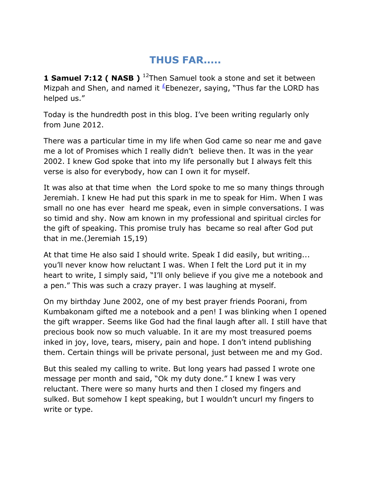## **THUS FAR.....**

**1 Samuel 7:12 ( NASB )** <sup>12</sup>Then Samuel took a stone and set it between Mizpah and Shen, and named it  $E$  Ebenezer, saying, "Thus far the LORD has helped us."

Today is the hundredth post in this blog. I've been writing regularly only from June 2012.

There was a particular time in my life when God came so near me and gave me a lot of Promises which I really didn't believe then. It was in the year 2002. I knew God spoke that into my life personally but I always felt this verse is also for everybody, how can I own it for myself.

It was also at that time when the Lord spoke to me so many things through Jeremiah. I knew He had put this spark in me to speak for Him. When I was small no one has ever heard me speak, even in simple conversations. I was so timid and shy. Now am known in my professional and spiritual circles for the gift of speaking. This promise truly has became so real after God put that in me.(Jeremiah 15,19)

At that time He also said I should write. Speak I did easily, but writing... you'll never know how reluctant I was. When I felt the Lord put it in my heart to write, I simply said, "I'll only believe if you give me a notebook and a pen." This was such a crazy prayer. I was laughing at myself.

On my birthday June 2002, one of my best prayer friends Poorani, from Kumbakonam gifted me a notebook and a pen! I was blinking when I opened the gift wrapper. Seems like God had the final laugh after all. I still have that precious book now so much valuable. In it are my most treasured poems inked in joy, love, tears, misery, pain and hope. I don't intend publishing them. Certain things will be private personal, just between me and my God.

But this sealed my calling to write. But long years had passed I wrote one message per month and said, "Ok my duty done." I knew I was very reluctant. There were so many hurts and then I closed my fingers and sulked. But somehow I kept speaking, but I wouldn't uncurl my fingers to write or type.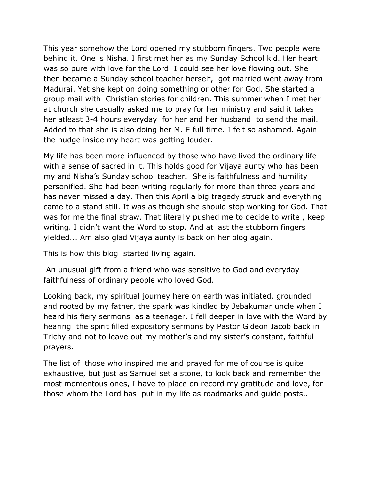This year somehow the Lord opened my stubborn fingers. Two people were behind it. One is Nisha. I first met her as my Sunday School kid. Her heart was so pure with love for the Lord. I could see her love flowing out. She then became a Sunday school teacher herself, got married went away from Madurai. Yet she kept on doing something or other for God. She started a group mail with Christian stories for children. This summer when I met her at church she casually asked me to pray for her ministry and said it takes her atleast 3-4 hours everyday for her and her husband to send the mail. Added to that she is also doing her M. E full time. I felt so ashamed. Again the nudge inside my heart was getting louder.

My life has been more influenced by those who have lived the ordinary life with a sense of sacred in it. This holds good for Vijaya aunty who has been my and Nisha's Sunday school teacher. She is faithfulness and humility personified. She had been writing regularly for more than three years and has never missed a day. Then this April a big tragedy struck and everything came to a stand still. It was as though she should stop working for God. That was for me the final straw. That literally pushed me to decide to write , keep writing. I didn't want the Word to stop. And at last the stubborn fingers yielded... Am also glad Vijaya aunty is back on her blog again.

This is how this blog started living again.

An unusual gift from a friend who was sensitive to God and everyday faithfulness of ordinary people who loved God.

Looking back, my spiritual journey here on earth was initiated, grounded and rooted by my father, the spark was kindled by Jebakumar uncle when I heard his fiery sermons as a teenager. I fell deeper in love with the Word by hearing the spirit filled expository sermons by Pastor Gideon Jacob back in Trichy and not to leave out my mother's and my sister's constant, faithful prayers.

The list of those who inspired me and prayed for me of course is quite exhaustive, but just as Samuel set a stone, to look back and remember the most momentous ones, I have to place on record my gratitude and love, for those whom the Lord has put in my life as roadmarks and guide posts..